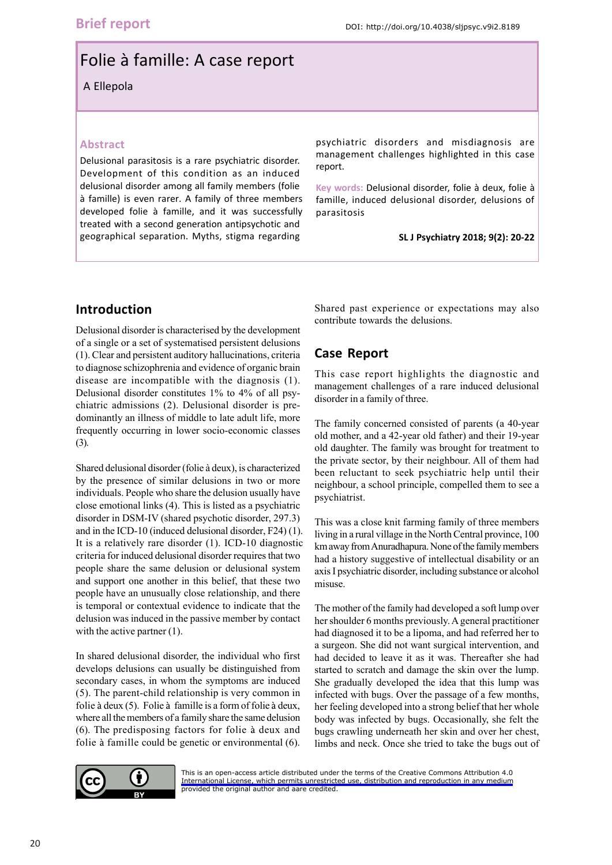# Folie à famille: A case report

A Ellepola

#### **Abstract**

Delusional parasitosis is a rare psychiatric disorder. Development of this condition as an induced delusional disorder among all family members (folie à famille) is even rarer. A family of three members developed folie à famille, and it was successfully treated with a second generation antipsychotic and geographical separation. Myths, stigma regarding

psychiatric disorders and misdiagnosis are management challenges highlighted in this case report.

**Key words:** Delusional disorder, folie à deux, folie à famille, induced delusional disorder, delusions of parasitosis

**SL J Psychiatry 2018; 9(2): 20-22**

## **Introduction**

Delusional disorder is characterised by the development of a single or a set of systematised persistent delusions (1). Clear and persistent auditory hallucinations, criteria to diagnose schizophrenia and evidence of organic brain disease are incompatible with the diagnosis (1). Delusional disorder constitutes 1% to 4% of all psychiatric admissions (2). Delusional disorder is predominantly an illness of middle to late adult life, more frequently occurring in lower socio-economic classes (3).

Shared delusional disorder (folie à deux), is characterized by the presence of similar delusions in two or more individuals. People who share the delusion usually have close emotional links (4). This is listed as a psychiatric disorder in DSM-IV (shared psychotic disorder, 297.3) and in the ICD-10 (induced delusional disorder, F24) (1). It is a relatively rare disorder (1). ICD-10 diagnostic criteria for induced delusional disorder requires that two people share the same delusion or delusional system and support one another in this belief, that these two people have an unusually close relationship, and there is temporal or contextual evidence to indicate that the delusion was induced in the passive member by contact with the active partner (1).

In shared delusional disorder, the individual who first develops delusions can usually be distinguished from secondary cases, in whom the symptoms are induced (5). The parent-child relationship is very common in folie à deux (5). Folie à famille is a form of folie à deux, where all the members of a family share the same delusion (6). The predisposing factors for folie à deux and folie à famille could be genetic or environmental (6).

Shared past experience or expectations may also contribute towards the delusions.

# **Case Report**

This case report highlights the diagnostic and management challenges of a rare induced delusional disorder in a family of three.

The family concerned consisted of parents (a 40-year old mother, and a 42-year old father) and their 19-year old daughter. The family was brought for treatment to the private sector, by their neighbour. All of them had been reluctant to seek psychiatric help until their neighbour, a school principle, compelled them to see a psychiatrist.

This was a close knit farming family of three members living in a rural village in the North Central province, 100 km away from Anuradhapura. None of the family members had a history suggestive of intellectual disability or an axis I psychiatric disorder, including substance or alcohol misuse.

The mother of the family had developed a soft lump over her shoulder 6 months previously. A general practitioner had diagnosed it to be a lipoma, and had referred her to a surgeon. She did not want surgical intervention, and had decided to leave it as it was. Thereafter she had started to scratch and damage the skin over the lump. She gradually developed the idea that this lump was infected with bugs. Over the passage of a few months, her feeling developed into a strong belief that her whole body was infected by bugs. Occasionally, she felt the bugs crawling underneath her skin and over her chest, limbs and neck. Once she tried to take the bugs out of



[This is an open-access article distributed under the terms of the Creative Commons Attribution 4.0](https://creativecommons.org/licenses/by/4.0/legalcode) International License, which permits unrestricted use, distribution and reproduction in any medium provided the original author and aare credited.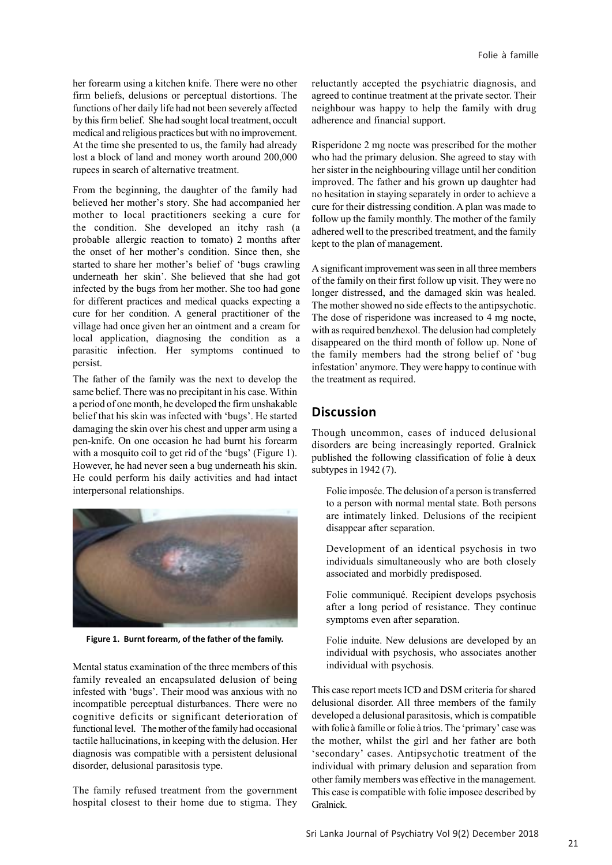her forearm using a kitchen knife. There were no other firm beliefs, delusions or perceptual distortions. The functions of her daily life had not been severely affected by this firm belief. She had sought local treatment, occult medical and religious practices but with no improvement. At the time she presented to us, the family had already lost a block of land and money worth around 200,000 rupees in search of alternative treatment.

From the beginning, the daughter of the family had believed her mother's story. She had accompanied her mother to local practitioners seeking a cure for the condition. She developed an itchy rash (a probable allergic reaction to tomato) 2 months after the onset of her mother's condition. Since then, she started to share her mother's belief of 'bugs crawling underneath her skin'. She believed that she had got infected by the bugs from her mother. She too had gone for different practices and medical quacks expecting a cure for her condition. A general practitioner of the village had once given her an ointment and a cream for local application, diagnosing the condition as a parasitic infection. Her symptoms continued to persist.

The father of the family was the next to develop the same belief. There was no precipitant in his case. Within a period of one month, he developed the firm unshakable belief that his skin was infected with 'bugs'. He started damaging the skin over his chest and upper arm using a pen-knife. On one occasion he had burnt his forearm with a mosquito coil to get rid of the 'bugs' (Figure 1). However, he had never seen a bug underneath his skin. He could perform his daily activities and had intact interpersonal relationships.



**Figure 1. Burnt forearm, of the father of the family.**

Mental status examination of the three members of this family revealed an encapsulated delusion of being infested with 'bugs'. Their mood was anxious with no incompatible perceptual disturbances. There were no cognitive deficits or significant deterioration of functional level. The mother of the family had occasional tactile hallucinations, in keeping with the delusion. Her diagnosis was compatible with a persistent delusional disorder, delusional parasitosis type.

The family refused treatment from the government hospital closest to their home due to stigma. They

reluctantly accepted the psychiatric diagnosis, and agreed to continue treatment at the private sector. Their neighbour was happy to help the family with drug adherence and financial support.

Risperidone 2 mg nocte was prescribed for the mother who had the primary delusion. She agreed to stay with her sister in the neighbouring village until her condition improved. The father and his grown up daughter had no hesitation in staying separately in order to achieve a cure for their distressing condition. A plan was made to follow up the family monthly. The mother of the family adhered well to the prescribed treatment, and the family kept to the plan of management.

A significant improvement was seen in all three members of the family on their first follow up visit. They were no longer distressed, and the damaged skin was healed. The mother showed no side effects to the antipsychotic. The dose of risperidone was increased to 4 mg nocte, with as required benzhexol. The delusion had completely disappeared on the third month of follow up. None of the family members had the strong belief of 'bug infestation' anymore. They were happy to continue with the treatment as required.

### **Discussion**

Though uncommon, cases of induced delusional disorders are being increasingly reported. Gralnick published the following classification of folie à deux subtypes in 1942 (7).

Folie imposée. The delusion of a person is transferred to a person with normal mental state. Both persons are intimately linked. Delusions of the recipient disappear after separation.

Development of an identical psychosis in two individuals simultaneously who are both closely associated and morbidly predisposed.

Folie communiqué. Recipient develops psychosis after a long period of resistance. They continue symptoms even after separation.

Folie induite. New delusions are developed by an individual with psychosis, who associates another individual with psychosis.

This case report meets ICD and DSM criteria for shared delusional disorder. All three members of the family developed a delusional parasitosis, which is compatible with folie à famille or folie à trios. The 'primary' case was the mother, whilst the girl and her father are both 'secondary' cases. Antipsychotic treatment of the individual with primary delusion and separation from other family members was effective in the management. This case is compatible with folie imposee described by Gralnick.